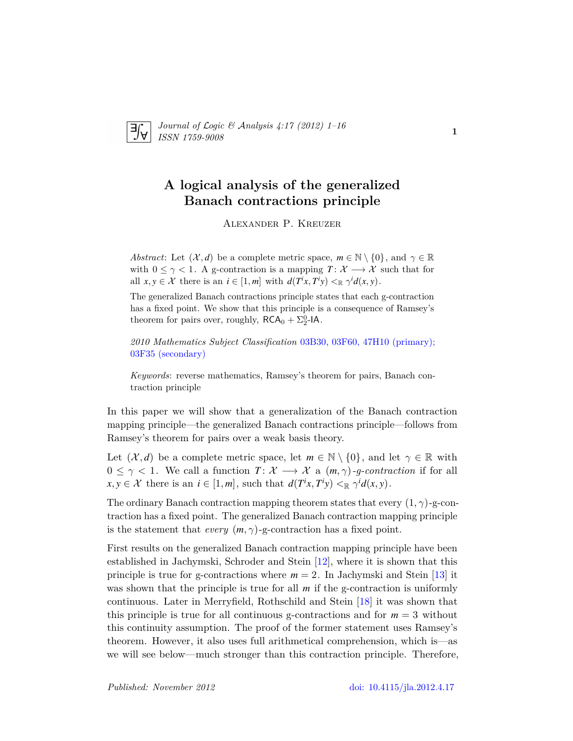

*Journal of* L*ogic &* A*nalysis 4:17 (2012) 1–16 ISSN 1759-9008* **1.17** (2012) **1 10 1** 

# **A logical analysis of the generalized Banach contractions principle**

Alexander P. Kreuzer

*Abstract*: Let  $(\mathcal{X}, d)$  be a complete metric space,  $m \in \mathbb{N} \setminus \{0\}$ , and  $\gamma \in \mathbb{R}$ with  $0 \leq \gamma \leq 1$ . A g-contraction is a mapping  $T: \mathcal{X} \longrightarrow \mathcal{X}$  such that for all  $x, y \in \mathcal{X}$  there is an  $i \in [1, m]$  with  $d(T^i x, T^i y) \leq \mathbb{R} \gamma^i d(x, y)$ .

The generalized Banach contractions principle states that each g-contraction has a fixed point. We show that this principle is a consequence of Ramsey's theorem for pairs over, roughly,  $\mathsf{RCA}_0 + \Sigma_2^0\text{-IA}.$ 

*2010 Mathematics Subject Classification* [03B30, 03F60, 47H10 \(primary\);](http://www.ams.org/mathscinet/search/mscdoc.html?code=03B30, 03F60, 47H10,(03F35)) [03F35 \(secondary\)](http://www.ams.org/mathscinet/search/mscdoc.html?code=03B30, 03F60, 47H10,(03F35))

*Keywords*: reverse mathematics, Ramsey's theorem for pairs, Banach contraction principle

In this paper we will show that a generalization of the Banach contraction mapping principle—the generalized Banach contractions principle—follows from Ramsey's theorem for pairs over a weak basis theory.

Let  $(\mathcal{X}, d)$  be a complete metric space, let  $m \in \mathbb{N} \setminus \{0\}$ , and let  $\gamma \in \mathbb{R}$  with  $0 \leq \gamma < 1$ . We call a function  $T: \mathcal{X} \longrightarrow \mathcal{X}$  a  $(m, \gamma)$ *-g-contraction* if for all  $x, y \in \mathcal{X}$  there is an  $i \in [1, m]$ , such that  $d(T^i x, T^i y) \leq_{\mathbb{R}} \gamma^i d(x, y)$ .

The ordinary Banach contraction mapping theorem states that every (1*, γ*)-g-contraction has a fixed point. The generalized Banach contraction mapping principle is the statement that *every*  $(m, \gamma)$ -g-contraction has a fixed point.

First results on the generalized Banach contraction mapping principle have been established in Jachymski, Schroder and Stein [\[12\]](#page-14-0), where it is shown that this principle is true for g-contractions where  $m = 2$ . In Jachymski and Stein [\[13\]](#page-15-0) it was shown that the principle is true for all *m* if the g-contraction is uniformly continuous. Later in Merryfield, Rothschild and Stein [\[18\]](#page-15-1) it was shown that this principle is true for all continuous g-contractions and for  $m = 3$  without this continuity assumption. The proof of the former statement uses Ramsey's theorem. However, it also uses full arithmetical comprehension, which is—as we will see below—much stronger than this contraction principle. Therefore,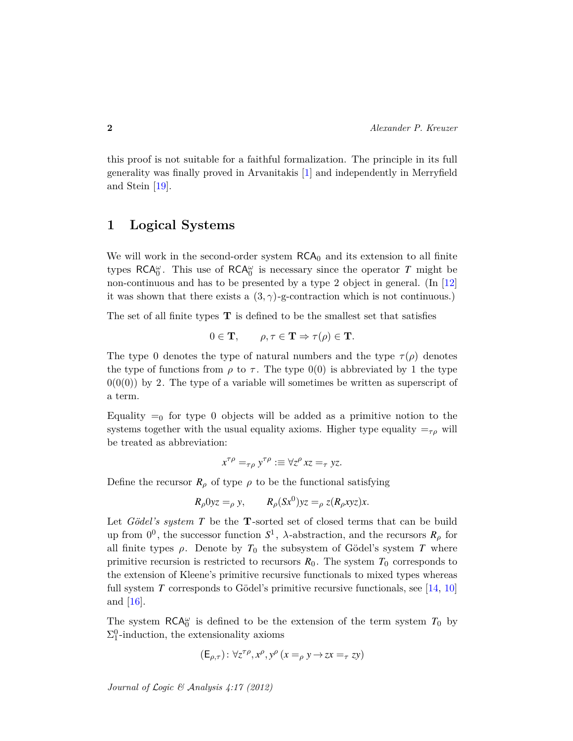this proof is not suitable for a faithful formalization. The principle in its full generality was finally proved in Arvanitakis [\[1\]](#page-14-1) and independently in Merryfield and Stein [\[19\]](#page-15-2).

## <span id="page-1-0"></span>**1 Logical Systems**

We will work in the second-order system  $RCA_0$  and its extension to all finite types  $RCA_0^{\omega}$ . This use of  $RCA_0^{\omega}$  is necessary since the operator *T* might be non-continuous and has to be presented by a type 2 object in general. (In [\[12\]](#page-14-0) it was shown that there exists a  $(3, \gamma)$ -g-contraction which is not continuous.)

The set of all finite types **T** is defined to be the smallest set that satisfies

$$
0 \in \mathbf{T}, \qquad \rho, \tau \in \mathbf{T} \Rightarrow \tau(\rho) \in \mathbf{T}.
$$

The type 0 denotes the type of natural numbers and the type  $\tau(\rho)$  denotes the type of functions from  $\rho$  to  $\tau$ . The type  $0(0)$  is abbreviated by 1 the type  $0(0(0))$  by 2. The type of a variable will sometimes be written as superscript of a term.

Equality  $=_0$  for type 0 objects will be added as a primitive notion to the systems together with the usual equality axioms. Higher type equality  $=_{\tau\rho}$  will be treated as abbreviation:

$$
x^{\tau\rho} =_{\tau\rho} y^{\tau\rho} := \forall z^{\rho} xz =_{\tau} yz.
$$

Define the recursor  $R_\rho$  of type  $\rho$  to be the functional satisfying

$$
R_{\rho}0yz =_{\rho} y, \qquad R_{\rho}(Sx^0)yz =_{\rho} z(R_{\rho}xyz)x.
$$

Let *Gödel's system T* be the **T**-sorted set of closed terms that can be build up from  $0^0$ , the successor function  $S^1$ ,  $\lambda$ -abstraction, and the recursors  $R_\rho$  for all finite types  $\rho$ . Denote by  $T_0$  the subsystem of Gödel's system T where primitive recursion is restricted to recursors  $R_0$ . The system  $T_0$  corresponds to the extension of Kleene's primitive recursive functionals to mixed types whereas full system *T* corresponds to Gödel's primitive recursive functionals, see [\[14,](#page-15-3) [10\]](#page-14-2) and [\[16\]](#page-15-4).

The system  $RCA_0^{\omega}$  is defined to be the extension of the term system  $T_0$  by  $\Sigma^0_1$ -induction, the extensionality axioms

$$
(\mathsf{E}_{\rho,\tau})\colon \forall z^{\tau\rho}, x^{\rho}, y^{\rho}\ (x =_{\rho} y \to zx =_{\tau} zy)
$$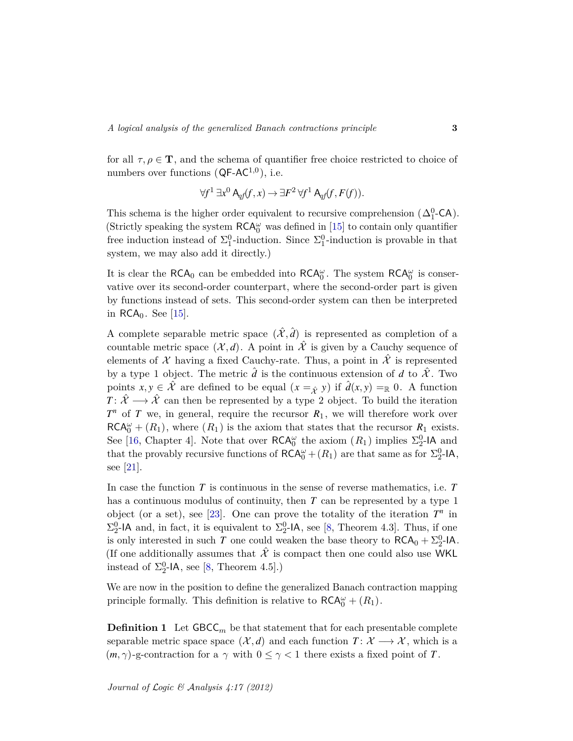for all  $\tau, \rho \in \mathbf{T}$ , and the schema of quantifier free choice restricted to choice of numbers over functions ( $\mathsf{QF\text{-}AC}^{1,0}$ ), i.e.

$$
\forall f^1 \exists x^0 \mathsf{A}_{qf}(f, x) \rightarrow \exists F^2 \forall f^1 \mathsf{A}_{qf}(f, F(f)).
$$

This schema is the higher order equivalent to recursive comprehension  $(\Delta_1^0$ -CA). (Strictly speaking the system  $\mathsf{RCA}^\omega_0$  was defined in  $[15]$  to contain only quantifier free induction instead of  $\Sigma_1^0$ -induction. Since  $\Sigma_1^0$ -induction is provable in that system, we may also add it directly.)

It is clear the  $RCA_0$  can be embedded into  $RCA_0^{\omega}$ . The system  $RCA_0^{\omega}$  is conservative over its second-order counterpart, where the second-order part is given by functions instead of sets. This second-order system can then be interpreted in  $RCA_0$ . See [\[15\]](#page-15-5).

A complete separable metric space  $(\hat{\mathcal{X}}, \hat{d})$  is represented as completion of a countable metric space  $(\mathcal{X}, d)$ . A point in  $\hat{\mathcal{X}}$  is given by a Cauchy sequence of elements of X having a fixed Cauchy-rate. Thus, a point in  $\hat{\mathcal{X}}$  is represented by a type 1 object. The metric  $\hat{d}$  is the continuous extension of  $d$  to  $\hat{\mathcal{X}}$ . Two points  $x, y \in \hat{\mathcal{X}}$  are defined to be equal  $(x =_{\hat{\mathcal{X}}} y)$  if  $\hat{d}(x, y) =_{\mathbb{R}} 0$ . A function *T* :  $\hat{X} \longrightarrow \hat{X}$  can then be represented by a type 2 object. To build the iteration  $T<sup>n</sup>$  of *T* we, in general, require the recursor  $R<sub>1</sub>$ , we will therefore work over  $RCA_0^{\omega} + (R_1)$ , where  $(R_1)$  is the axiom that states that the recursor  $R_1$  exists. See [\[16,](#page-15-4) Chapter 4]. Note that over  $\mathsf{RCA}^\omega_0$  the axiom  $(R_1)$  implies  $\Sigma^0_2$ -IA and that the provably recursive functions of  $RCA_0^{\omega} + (R_1)$  are that same as for  $\Sigma_2^0$ -IA, see [\[21\]](#page-15-6).

In case the function *T* is continuous in the sense of reverse mathematics, i.e. *T* has a continuous modulus of continuity, then *T* can be represented by a type 1 object (or a set), see [\[23\]](#page-15-7). One can prove the totality of the iteration  $T<sup>n</sup>$  in  $\Sigma_2^0$ -IA and, in fact, it is equivalent to  $\Sigma_2^0$ -IA, see [\[8,](#page-14-3) Theorem 4.3]. Thus, if one is only interested in such *T* one could weaken the base theory to  $RCA_0 + \Sigma^0_2$ -IA. (If one additionally assumes that  $\hat{\mathcal{X}}$  is compact then one could also use WKL instead of  $\Sigma^0_2$ -IA, see [\[8,](#page-14-3) Theorem 4.5].)

We are now in the position to define the generalized Banach contraction mapping principle formally. This definition is relative to  $\mathsf{RCA}^\omega_0 + (R_1)$ .

**Definition 1** Let  $GBCC_m$  be that statement that for each presentable complete separable metric space space  $(\mathcal{X}, d)$  and each function  $T: \mathcal{X} \longrightarrow \mathcal{X}$ , which is a  $(m, \gamma)$ -g-contraction for a  $\gamma$  with  $0 \leq \gamma < 1$  there exists a fixed point of *T*.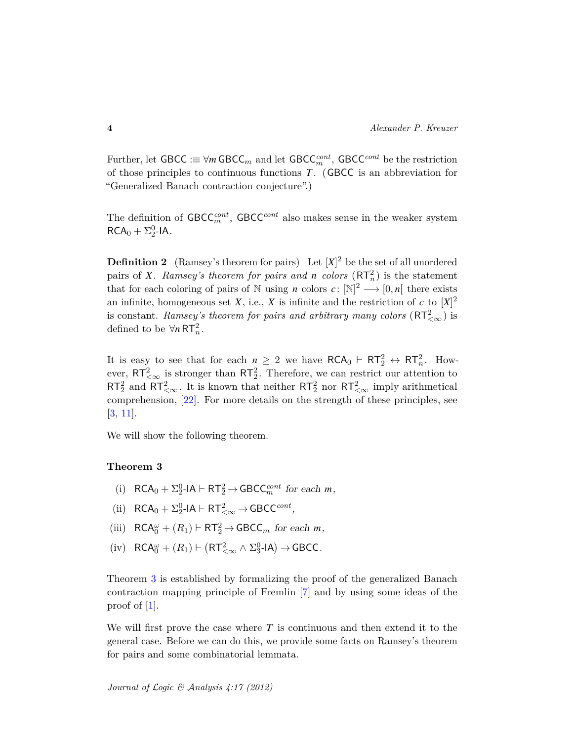Further, let GBCC :≡ ∀*m* GBCC*<sup>m</sup>* and let GBCC*cont <sup>m</sup>* , GBCC*cont* be the restriction of those principles to continuous functions *T* . (GBCC is an abbreviation for "Generalized Banach contraction conjecture".)

The definition of  $\mathsf{GBCC}_m^{cont}$ ,  $\mathsf{GBCC}^{cont}$  also makes sense in the weaker system  $RCA_0 + \Sigma_2^0$ -IA.

**Definition 2** (Ramsey's theorem for pairs) Let  $|X|^2$  be the set of all unordered pairs of *X*. *Ramsey's theorem for pairs and n colors*  $(RT_n^2)$  is the statement that for each coloring of pairs of N using *n* colors  $c: \mathbb{N}^2 \longrightarrow [0, n]$  there exists an infinite, homogeneous set *X*, i.e., *X* is infinite and the restriction of *c* to  $[X]^2$ is constant. *Ramsey's theorem for pairs and arbitrary many colors*  $(\mathsf{RT}^2_{<\infty})$  is defined to be  $\forall n \, RT_n^2$ .

It is easy to see that for each  $n \geq 2$  we have  $RCA_0 \vdash RT_2^2 \leftrightarrow RT_n^2$ . However,  $RT_{<\infty}^2$  is stronger than  $RT_2^2$ . Therefore, we can restrict our attention to  $RT_2^2$  and  $RT_{<\infty}^2$ . It is known that neither  $RT_2^2$  nor  $RT_{<\infty}^2$  imply arithmetical comprehension, [\[22\]](#page-15-8). For more details on the strength of these principles, see [\[3,](#page-14-4) [11\]](#page-14-5).

We will show the following theorem.

#### <span id="page-3-0"></span>**Theorem 3**

- (i)  $RCA_0 + \sum_{2}^{0} -1A \vdash RT_2^2 \rightarrow GBCC_m^{cont}$  for each *m*,
- (ii)  $RCA_0 + \Sigma_2^0 IA \vdash RT_{<\infty}^2 \rightarrow GBCC^{cont},$
- (iii)  $RCA_0^{\omega} + (R_1) \vdash RT_2^2 \rightarrow GBCC_m$  for each *m*,
- $(iv)$   $RCA_0^{\omega} + (R_1) \vdash (RT_{<\infty}^2 \land \Sigma_3^0 \text{-IA}) \rightarrow \text{GBCC}.$

Theorem [3](#page-3-0) is established by formalizing the proof of the generalized Banach contraction mapping principle of Fremlin [\[7\]](#page-14-6) and by using some ideas of the proof of [\[1\]](#page-14-1).

We will first prove the case where *T* is continuous and then extend it to the general case. Before we can do this, we provide some facts on Ramsey's theorem for pairs and some combinatorial lemmata.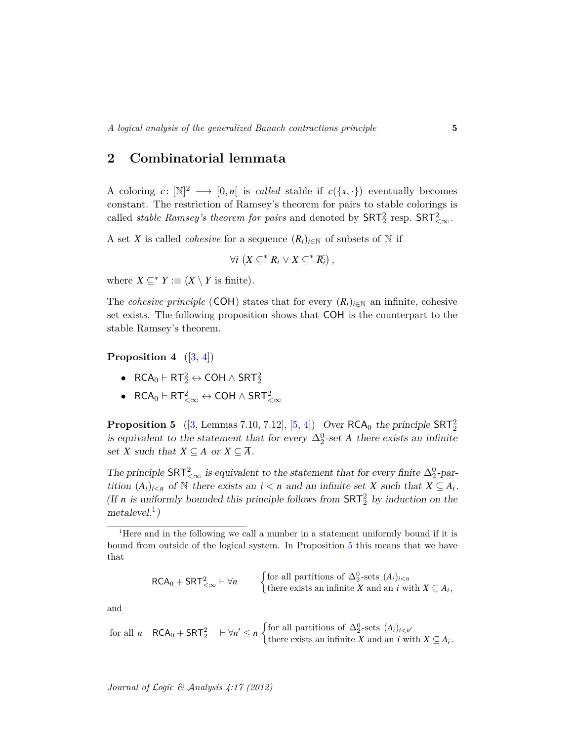## **2 Combinatorial lemmata**

A coloring  $c: [\mathbb{N}]^2 \longrightarrow [0,n]$  is *called* stable if  $c(\lbrace x, \cdot \rbrace)$  eventually becomes constant. The restriction of Ramsey's theorem for pairs to stable colorings is called *stable Ramsey's theorem for pairs* and denoted by  $\text{SRT}_2^2$  resp.  $\text{SRT}_{<\infty}^2$ .

A set *X* is called *cohesive* for a sequence  $(R_i)_{i \in \mathbb{N}}$  of subsets of  $\mathbb N$  if

$$
\forall i \ (X \subseteq^* R_i \vee X \subseteq^* \overline{R_i}) \ ,
$$

where  $X \subseteq^* Y := (X \setminus Y$  is finite).

The *cohesive principle* (COH) states that for every  $(R_i)_{i \in \mathbb{N}}$  an infinite, cohesive set exists. The following proposition shows that COH is the counterpart to the stable Ramsey's theorem.

<span id="page-4-2"></span>**Proposition 4**  $([3, 4])$  $([3, 4])$  $([3, 4])$  $([3, 4])$  $([3, 4])$ 

- RCA $_0 \vdash \mathsf{RT}^2_2 \leftrightarrow \mathsf{COH} \wedge \mathsf{SRT}^2_2$
- $\bullet \quad \mathsf{RCA}_0\vdash\mathsf{RT}^2_{<\infty}\leftrightarrow\mathsf{COH}\wedge\mathsf{SRT}^2_{<\infty}$

<span id="page-4-1"></span>**Proposition 5** ([\[3,](#page-14-4) Lemmas 7.10, 7.12], [\[5,](#page-14-8) [4\]](#page-14-7)) Over  $RCA_0$  the principle  $SRT_2^2$ is equivalent to the statement that for every  $\Delta_2^0$ -set *A* there exists an infinite set *X* such that  $X \subseteq A$  or  $X \subseteq \overline{A}$ .

The principle  $\mathsf{SRT}^2_{\leq \infty}$  is equivalent to the statement that for every finite  $\Delta^0_2$ -partition  $(A_i)_{i \leq n}$  of N there exists an  $i < n$  and an infinite set *X* such that  $X \subseteq A_i$ . (If *n* is uniformly bounded this principle follows from  $SRT_2^2$  by induction on the  $metalevel.<sup>1</sup>$  $metalevel.<sup>1</sup>$  $metalevel.<sup>1</sup>$ )

 $RCA_0 + SRT_{<\infty}^2 \vdash \forall n$  $\int$  for all partitions of  $\Delta_2^0$ -sets  $(A_i)_{i \leq n}$ there exists an infinite *X* and an *i* with  $X \subseteq A_i$ ,

and

for all 
$$
n
$$
  $RCA_0 + SRT_2^2$   $\vdash \forall n' \le n$  {for all partitions of  $\Delta_2^0$ -sets  $(A_i)_{i \le n'}$   
there exists an infinite  $X$  and an  $i$  with  $X \subseteq A_i$ .

<span id="page-4-0"></span><sup>&</sup>lt;sup>1</sup>Here and in the following we call a number in a statement uniformly bound if it is bound from outside of the logical system. In Proposition [5](#page-4-1) this means that we have that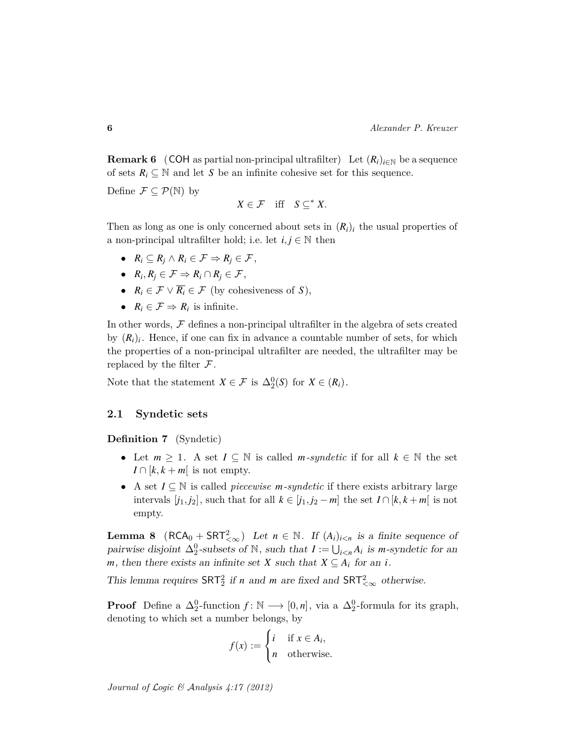<span id="page-5-1"></span>**Remark 6** (COH as partial non-principal ultrafilter) Let  $(R_i)_{i \in \mathbb{N}}$  be a sequence of sets  $R_i \subseteq \mathbb{N}$  and let *S* be an infinite cohesive set for this sequence.

Define  $\mathcal{F} \subseteq \mathcal{P}(\mathbb{N})$  by

$$
X\in\mathcal{F}\quad\text{iff}\quad S\subseteq^* X.
$$

Then as long as one is only concerned about sets in  $(R_i)_i$  the usual properties of a non-principal ultrafilter hold; i.e. let  $i, j \in \mathbb{N}$  then

- $R_i \subseteq R_i \land R_i \in \mathcal{F} \Rightarrow R_i \in \mathcal{F}$ ,
- $R_i, R_j \in \mathcal{F} \Rightarrow R_i \cap R_j \in \mathcal{F}$ ,
- $R_i \in \mathcal{F} \vee \overline{R_i} \in \mathcal{F}$  (by cohesiveness of *S*),
- $R_i \in \mathcal{F} \Rightarrow R_i$  is infinite.

In other words,  $F$  defines a non-principal ultrafilter in the algebra of sets created by  $(R_i)_i$ . Hence, if one can fix in advance a countable number of sets, for which the properties of a non-principal ultrafilter are needed, the ultrafilter may be replaced by the filter  $\mathcal F$ .

Note that the statement  $X \in \mathcal{F}$  is  $\Delta_2^0(S)$  for  $X \in (R_i)$ .

### **2.1 Syndetic sets**

**Definition 7** (Syndetic)

- Let  $m \geq 1$ . A set  $I \subseteq \mathbb{N}$  is called *m*-syndetic if for all  $k \in \mathbb{N}$  the set  $I \cap [k, k + m]$  is not empty.
- A set *I* ⊆ N is called *piecewise m-syndetic* if there exists arbitrary large intervals  $[j_1, j_2]$ , such that for all  $k \in [j_1, j_2 - m]$  the set  $I \cap [k, k + m]$  is not empty.

<span id="page-5-0"></span>**Lemma 8**  $(RCA_0 + SRT_{<\infty}^2)$  Let  $n \in \mathbb{N}$ . If  $(A_i)_{i \leq n}$  is a finite sequence of pairwise disjoint  $\Delta_2^0$ -subsets of  $\mathbb{N}$ , such that  $I := \bigcup_{i \leq n} A_i$  is *m*-syndetic for an *m*, then there exists an infinite set *X* such that  $X \subseteq A_i$  for an *i*.

This lemma requires  $SRT_2^2$  if *n* and *m* are fixed and  $SRT_{<\infty}^2$  otherwise.

**Proof** Define a  $\Delta_2^0$ -function  $f: \mathbb{N} \longrightarrow [0, n]$ , via a  $\Delta_2^0$ -formula for its graph, denoting to which set a number belongs, by

$$
f(x) := \begin{cases} i & \text{if } x \in A_i, \\ n & \text{otherwise.} \end{cases}
$$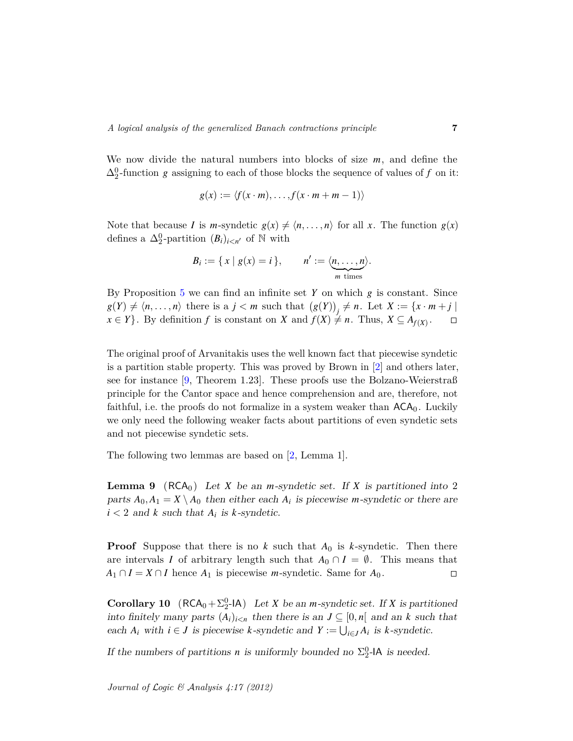We now divide the natural numbers into blocks of size *m*, and define the  $\Delta_2^0$ -function *g* assigning to each of those blocks the sequence of values of *f* on it:

$$
g(x) := \langle f(x \cdot m), \dots, f(x \cdot m + m - 1) \rangle
$$

Note that because *I* is *m*-syndetic  $g(x) \neq \langle n, \ldots, n \rangle$  for all *x*. The function  $g(x)$ defines a  $\Delta_2^0$ -partition  $(B_i)_{i \leq n'}$  of N with

$$
B_i := \{ x \mid g(x) = i \}, \qquad n' := \langle \underbrace{n, \ldots, n}_{m \text{ times}} \rangle.
$$

By Proposition [5](#page-4-1) we can find an infinite set *Y* on which *g* is constant. Since  $g(Y) \neq \langle n, \ldots, n \rangle$  there is a  $j < m$  such that  $(g(Y))_j \neq n$ . Let  $X := \{x \cdot m + j \mid n\}$  $x \in Y$ . By definition *f* is constant on *X* and  $f(X) \neq n$ . Thus,  $X \subseteq A_{f(X)}$ .  $\Box$ 

The original proof of Arvanitakis uses the well known fact that piecewise syndetic is a partition stable property. This was proved by Brown in [\[2\]](#page-14-9) and others later, see for instance [\[9,](#page-14-10) Theorem 1.23]. These proofs use the Bolzano-Weierstraß principle for the Cantor space and hence comprehension and are, therefore, not faithful, i.e. the proofs do not formalize in a system weaker than  $ACA_0$ . Luckily we only need the following weaker facts about partitions of even syndetic sets and not piecewise syndetic sets.

The following two lemmas are based on [\[2,](#page-14-9) Lemma 1].

<span id="page-6-0"></span>**Lemma 9** ( $RCA_0$ ) Let *X* be an *m*-syndetic set. If *X* is partitioned into 2 parts  $A_0$ ,  $A_1 = X \setminus A_0$  then either each  $A_i$  is piecewise *m*-syndetic or there are  $i < 2$  and  $k$  such that  $A_i$  is  $k$ -syndetic.

**Proof** Suppose that there is no  $k$  such that  $A_0$  is  $k$ -syndetic. Then there are intervals *I* of arbitrary length such that  $A_0 \cap I = \emptyset$ . This means that  $A_1 \cap I = X \cap I$  hence  $A_1$  is piecewise *m*-syndetic. Same for  $A_0$ .  $\Box$ 

<span id="page-6-1"></span>**Corollary 10** ( $RCA_0 + \sum_{i=1}^{0} A$ ) Let *X* be an *m*-syndetic set. If *X* is partitioned into finitely many parts  $(A_i)_{i \leq n}$  then there is an  $J \subseteq [0, n]$  and an k such that each  $A_i$  with  $i \in J$  is piecewise  $k$ -syndetic and  $Y := \bigcup_{i \in J} A_i$  is  $k$ -syndetic.

If the numbers of partitions *n* is uniformly bounded no  $\Sigma_2^0$ -IA is needed.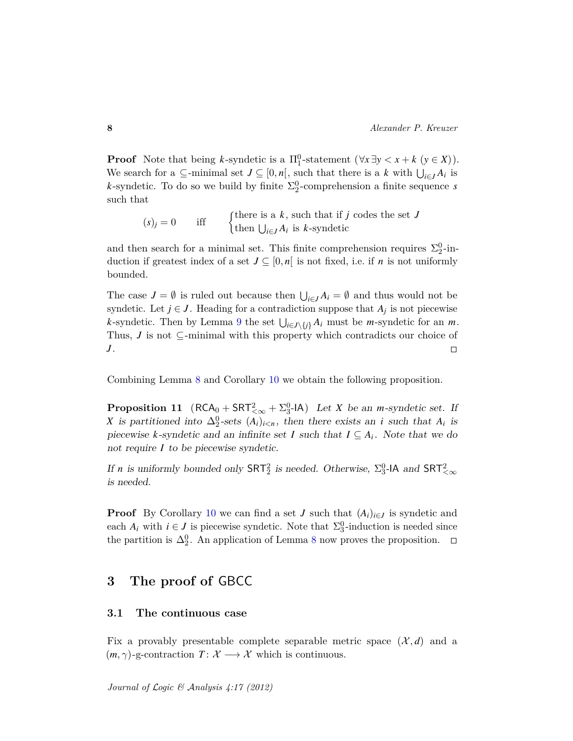**Proof** Note that being *k*-syndetic is a  $\Pi_1^0$ -statement  $(\forall x \exists y < x + k \ (y \in X)).$ We search for a  $\subseteq$ -minimal set  $J \subseteq [0, n]$ , such that there is a k with  $\bigcup_{i \in J} A_i$  is *k*-syndetic. To do so we build by finite  $\Sigma_2^0$ -comprehension a finite sequence *s* such that

 $(s)$ <sub>j</sub> = 0 iff  $\left\{\begin{matrix} \text{there is a } k \text{, such that if } j \text{ codes the set } J \end{matrix}\right\}$ then  $\bigcup_{i \in J} A_i$  is *k*-syndetic

and then search for a minimal set. This finite comprehension requires  $\Sigma^0_2$ -induction if greatest index of a set  $J \subseteq [0, n]$  is not fixed, i.e. if *n* is not uniformly bounded.

The case  $J = \emptyset$  is ruled out because then  $\bigcup_{i \in J} A_i = \emptyset$  and thus would not be syndetic. Let  $j \in J$ . Heading for a contradiction suppose that  $A_j$  is not piecewise *k*-syndetic. Then by Lemma [9](#page-6-0) the set  $\bigcup_{i \in J \setminus \{j\}} A_i$  must be *m*-syndetic for an *m*. Thus, *J* is not ⊆-minimal with this property which contradicts our choice of *J* .  $\Box$ 

Combining Lemma [8](#page-5-0) and Corollary [10](#page-6-1) we obtain the following proposition.

<span id="page-7-0"></span>**Proposition 11** ( $RCA_0 + SRT_{<\infty}^2 + \Sigma_3^0$ -IA) Let *X* be an *m*-syndetic set. If *X* is partitioned into  $\Delta_2^0$ -sets  $(A_i)_{i \leq n}$ , then there exists an *i* such that  $A_i$  is piecewise *k*-syndetic and an infinite set *I* such that  $I \subseteq A_i$ . Note that we do not require *I* to be piecewise syndetic.

If *n* is uniformly bounded only  $\textsf{SRT}_2^2$  is needed. Otherwise,  $\Sigma_3^0$ -IA and  $\textsf{SRT}_{< \infty}^2$ is needed.

**Proof** By Corollary [10](#page-6-1) we can find a set *J* such that  $(A_i)_{i \in J}$  is syndetic and each  $A_i$  with  $i \in J$  is piecewise syndetic. Note that  $\Sigma_3^0$ -induction is needed since the partition is  $\Delta_2^0$ . An application of Lemma [8](#page-5-0) now proves the proposition.

## **3 The proof of** GBCC

### **3.1 The continuous case**

Fix a provably presentable complete separable metric space  $(\mathcal{X}, d)$  and a  $(m, \gamma)$ -g-contraction  $T: \mathcal{X} \longrightarrow \mathcal{X}$  which is continuous.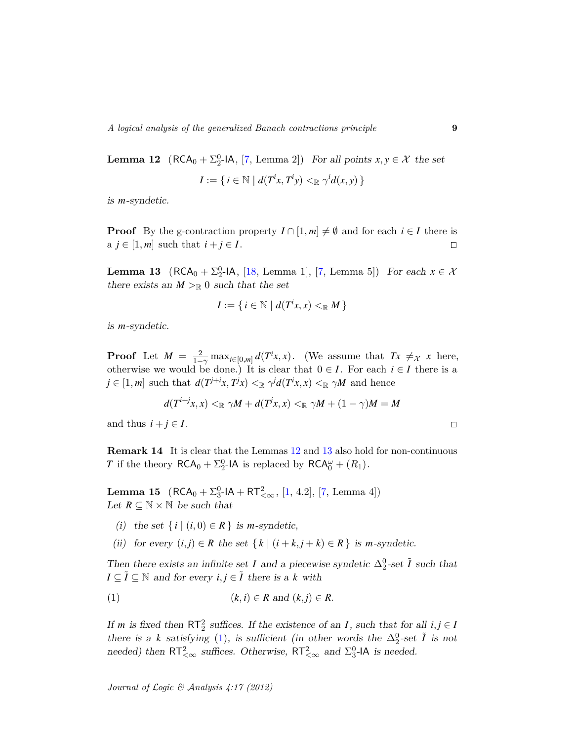<span id="page-8-0"></span>**Lemma 12**  $(RCA_0 + \sum_{2}^{0} - |A|, [7, Lemma 2])$  $(RCA_0 + \sum_{2}^{0} - |A|, [7, Lemma 2])$  $(RCA_0 + \sum_{2}^{0} - |A|, [7, Lemma 2])$  For all points  $x, y \in \mathcal{X}$  the set  $I := \{ i \in \mathbb{N} \mid d(T^i x, T^i y) \leq \mathbb{R} \gamma^i d(x, y) \}$ 

is *m*-syndetic.

**Proof** By the g-contraction property  $I \cap [1, m] \neq \emptyset$  and for each  $i \in I$  there is a  $j \in [1, m]$  such that  $i + j \in I$ .  $\Box$ 

<span id="page-8-1"></span>**Lemma 13** ( $RCA_0 + \sum_{2}^{0}$ -IA, [\[18,](#page-15-1) Lemma 1], [\[7,](#page-14-6) Lemma 5]) For each  $x \in \mathcal{X}$ there exists an  $M >_{\mathbb{R}} 0$  such that the set

$$
I := \{ i \in \mathbb{N} \mid d(T^i x, x) <_{\mathbb{R}} M \}
$$

is *m*-syndetic.

**Proof** Let  $M = \frac{2}{1-\gamma} \max_{i \in [0,m]} d(T^i x, x)$ . (We assume that  $Tx \neq x$  *x* here, otherwise we would be done.) It is clear that  $0 \in I$ . For each  $i \in I$  there is a  $j \in [1,m]$  such that  $d(T^{j+i}x, T^jx) \leq_{\mathbb{R}} \gamma^j d(T^ix, x) \leq_{\mathbb{R}} \gamma M$  and hence

$$
d(T^{i+j}x, x) \leq_{\mathbb{R}} \gamma M + d(T^jx, x) \leq_{\mathbb{R}} \gamma M + (1 - \gamma)M = M
$$

and thus  $i + j \in I$ .

**Remark 14** It is clear that the Lemmas [12](#page-8-0) and [13](#page-8-1) also hold for non-continuous *T* if the theory  $\mathsf{RCA}_0 + \Sigma_2^0\text{-}\mathsf{IA}$  is replaced by  $\mathsf{RCA}_0^\omega + (R_1)$ .

<span id="page-8-5"></span>**Lemma 15**  $(RCA_0 + \Sigma_3^0 - IA + RT_{<\infty}^2, [1, 4.2], [7, Lemma 4])$  $(RCA_0 + \Sigma_3^0 - IA + RT_{<\infty}^2, [1, 4.2], [7, Lemma 4])$  $(RCA_0 + \Sigma_3^0 - IA + RT_{<\infty}^2, [1, 4.2], [7, Lemma 4])$  $(RCA_0 + \Sigma_3^0 - IA + RT_{<\infty}^2, [1, 4.2], [7, Lemma 4])$  $(RCA_0 + \Sigma_3^0 - IA + RT_{<\infty}^2, [1, 4.2], [7, Lemma 4])$ Let  $R \subseteq \mathbb{N} \times \mathbb{N}$  be such that

- <span id="page-8-3"></span>(i) the set  $\{i \mid (i,0) \in R\}$  is *m*-syndetic,
- <span id="page-8-4"></span>(ii) for every  $(i, j) \in R$  the set  $\{k \mid (i + k, j + k) \in R\}$  is *m*-syndetic.

Then there exists an infinite set *I* and a piecewise syndetic  $\Delta_2^0$ -set  $\tilde{I}$  such that *I* ⊆  $\tilde{I}$  ⊆ ℕ and for every  $i, j \in \tilde{I}$  there is a *k* with

<span id="page-8-2"></span>
$$
(1) \qquad (k,i) \in R \text{ and } (k,j) \in R.
$$

If *m* is fixed then  $RT_2^2$  suffices. If the existence of an *I*, such that for all  $i, j \in I$ there is a *k* satisfying [\(1\)](#page-8-2), is sufficient (in other words the  $\Delta_2^0$ -set  $\tilde{I}$  is not needed) then  $RT_{<\infty}^2$  suffices. Otherwise,  $RT_{<\infty}^2$  and  $\Sigma_3^0$ -IA is needed.

 $\Box$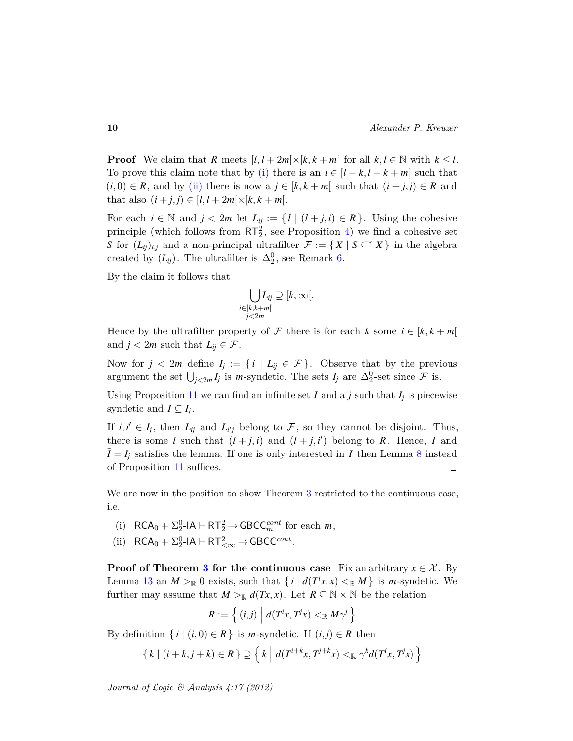**Proof** We claim that *R* meets  $[l, l + 2m] \times [k, k + m]$  for all  $k, l \in \mathbb{N}$  with  $k \leq l$ . To prove this claim note that by [\(i\)](#page-8-3) there is an  $i \in [l - k, l - k + m]$  such that  $(i, 0) \in R$ , and by [\(ii\)](#page-8-4) there is now a  $j \in [k, k + m]$  such that  $(i + j, j) \in R$  and that also  $(i + j, j) \in [l, l + 2m] \times [k, k + m]$ .

For each  $i \in \mathbb{N}$  and  $j < 2m$  let  $L_{ij} := \{ l \mid (l + j, i) \in R \}$ . Using the cohesive principle (which follows from  $RT_2^2$ , see Proposition [4\)](#page-4-2) we find a cohesive set *S* for  $(L_{ij})_{i,j}$  and a non-principal ultrafilter  $\mathcal{F} := \{ X \mid S \subseteq^* X \}$  in the algebra created by  $(L_{ij})$ . The ultrafilter is  $\Delta_2^0$ , see Remark [6.](#page-5-1)

By the claim it follows that

$$
\bigcup_{\substack{i \in [k,k+m[ \\ j < 2m}} L_{ij} \supseteq [k,\infty[.
$$

Hence by the ultrafilter property of F there is for each  $k$  some  $i \in [k, k + m]$ and  $j < 2m$  such that  $L_{ij} \in \mathcal{F}$ .

Now for  $j < 2m$  define  $I_j := \{i \mid L_{ij} \in \mathcal{F}\}\$ . Observe that by the previous argument the set  $\bigcup_{j<2m} I_j$  is *m*-syndetic. The sets  $I_j$  are  $\Delta_2^0$ -set since  $\mathcal F$  is.

Using Proposition [11](#page-7-0) we can find an infinite set  $I$  and a  $j$  such that  $I_j$  is piecewise syndetic and  $I \subseteq I_j$ .

If  $i, i' \in I_j$ , then  $L_{ij}$  and  $L_{i'j}$  belong to  $\mathcal F$ , so they cannot be disjoint. Thus, there is some *l* such that  $(l + j, i)$  and  $(l + j, i')$  belong to *R*. Hence, *I* and  $\hat{I} = I_i$  satisfies the lemma. If one is only interested in *I* then Lemma [8](#page-5-0) instead of Proposition [11](#page-7-0) suffices.  $\Box$ 

We are now in the position to show Theorem [3](#page-3-0) restricted to the continuous case, i.e.

- <span id="page-9-0"></span>(i)  $RCA_0 + \sum_{2}^{0} -1A \vdash RT_2^2 \rightarrow GBCC_m^{cont}$  for each *m*,
- (ii)  $RCA_0 + \Sigma_2^0 \text{-IA} \vdash RT_{<\infty}^2 \rightarrow GBCC^{cont}.$

**Proof of Theorem [3](#page-3-0) for the continuous case** Fix an arbitrary  $x \in \mathcal{X}$ . By Lemma [13](#page-8-1) an  $M >_{\mathbb{R}} 0$  exists, such that  $\{i \mid d(T^i x, x) <_{\mathbb{R}} M\}$  is *m*-syndetic. We further may assume that  $M >_{\mathbb{R}} d(Tx, x)$ . Let  $R \subseteq \mathbb{N} \times \mathbb{N}$  be the relation

$$
R:=\left\{ (i,j) \mid d(T^ix,T^jx)<\mathbb{R} M\gamma^j\right\}
$$

By definition  $\{i \mid (i,0) \in R\}$  is *m*-syndetic. If  $(i,j) \in R$  then

$$
\{k \mid (i+k,j+k) \in R\} \supseteq \left\{k \mid d(T^{i+k}x, T^{j+k}x) <_{\mathbb{R}} \gamma^k d(T^i x, T^j x)\right\}
$$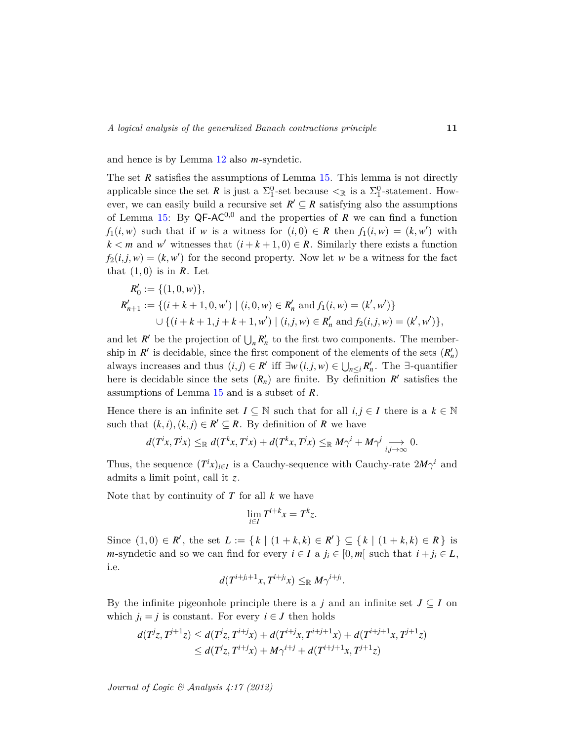and hence is by Lemma [12](#page-8-0) also *m*-syndetic.

The set *R* satisfies the assumptions of Lemma [15.](#page-8-5) This lemma is not directly applicable since the set *R* is just a  $\Sigma_1^0$ -set because  $\lt_{\mathbb{R}}$  is a  $\Sigma_1^0$ -statement. However, we can easily build a recursive set  $R' \subseteq R$  satisfying also the assumptions of Lemma [15:](#page-8-5) By  $QF-AC^{0,0}$  and the properties of *R* we can find a function *f*<sub>1</sub>(*i*, *w*) such that if *w* is a witness for (*i*, 0)  $\in$  *R* then *f*<sub>1</sub>(*i*, *w*) = (*k*, *w*<sup>'</sup>) with  $k < m$  and *w*<sup>*w*</sup> witnesses that  $(i + k + 1, 0) \in R$ . Similarly there exists a function  $f_2(i,j,w) = (k, w')$  for the second property. Now let *w* be a witness for the fact that  $(1,0)$  is in  $\mathbb{R}$ . Let

$$
R'_0 := \{ (1, 0, w) \},
$$
  
\n
$$
R'_{n+1} := \{ (i + k + 1, 0, w') \mid (i, 0, w) \in R'_n \text{ and } f_1(i, w) = (k', w') \}
$$
  
\n
$$
\cup \{ (i + k + 1, j + k + 1, w') \mid (i, j, w) \in R'_n \text{ and } f_2(i, j, w) = (k', w') \},
$$

and let  $R'$  be the projection of  $\bigcup_n R'_n$  to the first two components. The membership in  $R'$  is decidable, since the first component of the elements of the sets  $(R'_n)$ always increases and thus  $(i, j) \in R'$  iff  $\exists w (i, j, w) \in \bigcup_{n \leq i} R'_n$ . The  $\exists$ -quantifier here is decidable since the sets  $(R_n)$  are finite. By definition  $R'$  satisfies the assumptions of Lemma [15](#page-8-5) and is a subset of *R*.

Hence there is an infinite set  $I \subseteq \mathbb{N}$  such that for all  $i, j \in I$  there is a  $k \in \mathbb{N}$ such that  $(k, i), (k, j) \in \mathbb{R}^{\prime} \subseteq \mathbb{R}$ . By definition of  $\mathbb{R}$  we have

$$
d(T^ix, T^jx) \leq_{\mathbb{R}} d(T^kx, T^ix) + d(T^kx, T^jx) \leq_{\mathbb{R}} M\gamma^i + M\gamma^j \underset{i,j \to \infty}{\longrightarrow} 0.
$$

Thus, the sequence  $(T^i x)_{i \in I}$  is a Cauchy-sequence with Cauchy-rate  $2M\gamma^i$  and admits a limit point, call it *z*.

Note that by continuity of *T* for all *k* we have

$$
\lim_{i \in I} T^{i+k} x = T^k z.
$$

Since  $(1,0) \in R'$ , the set  $L := \{ k \mid (1 + k, k) \in R' \} \subseteq \{ k \mid (1 + k, k) \in R \}$  is *m*-syndetic and so we can find for every  $i \in I$  a  $j_i \in [0, m]$  such that  $i + j_i \in L$ , i.e.

$$
d(T^{i+j_i+1}x, T^{i+j_i}x) \leq_{\mathbb{R}} M \gamma^{i+j_i}.
$$

By the infinite pigeonhole principle there is a *j* and an infinite set  $J \subseteq I$  on which  $j_i = j$  is constant. For every  $i \in J$  then holds

$$
d(T^{j}z, T^{j+1}z) \le d(T^{j}z, T^{i+j}x) + d(T^{i+j}x, T^{i+j+1}x) + d(T^{i+j+1}x, T^{j+1}z)
$$
  
 
$$
\le d(T^{j}z, T^{i+j}x) + M\gamma^{i+j} + d(T^{i+j+1}x, T^{j+1}z)
$$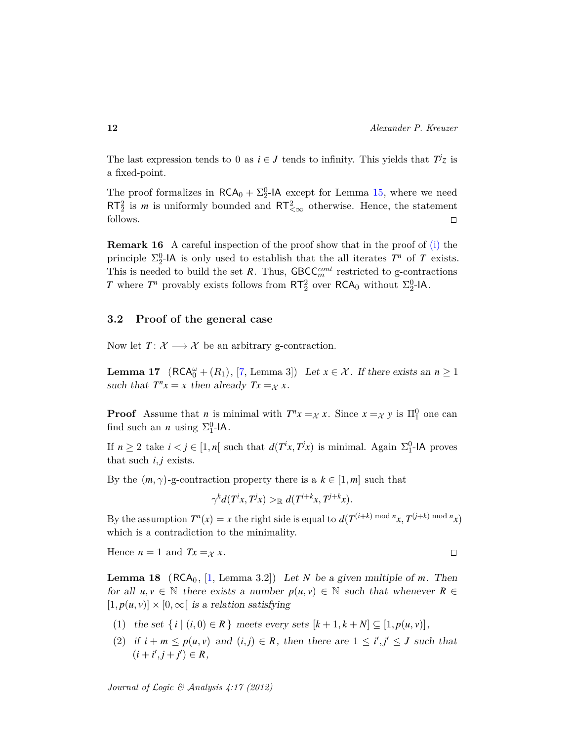The last expression tends to 0 as  $i \in J$  tends to infinity. This yields that  $T^j z$  is a fixed-point.

The proof formalizes in  $\mathsf{RCA}_0 + \Sigma^0_2$ -IA except for Lemma [15,](#page-8-5) where we need  $RT_2^2$  is *m* is uniformly bounded and  $RT_{<\infty}^2$  otherwise. Hence, the statement follows.  $\Box$ 

<span id="page-11-1"></span>**Remark 16** A careful inspection of the proof show that in the proof of [\(i\)](#page-9-0) the principle  $\Sigma_2^0$ -IA is only used to establish that the all iterates  $T^n$  of  $T$  exists. This is needed to build the set  $R$ . Thus,  $\text{GBCC}_{m}^{cont}$  restricted to g-contractions *T* where  $T^n$  provably exists follows from  $RT_2^2$  over  $RCA_0$  without  $\Sigma_2^0$ -IA.

### **3.2 Proof of the general case**

Now let  $T: \mathcal{X} \longrightarrow \mathcal{X}$  be an arbitrary g-contraction.

<span id="page-11-0"></span>**Lemma 17**  $(RCA_0^{\omega} + (R_1), [7, Lemma 3])$  $(RCA_0^{\omega} + (R_1), [7, Lemma 3])$  $(RCA_0^{\omega} + (R_1), [7, Lemma 3])$  Let  $x \in \mathcal{X}$ . If there exists an  $n \ge 1$ such that  $T^n x = x$  then already  $Tx = x$ .

**Proof** Assume that *n* is minimal with  $T^n x =_X x$ . Since  $x =_X y$  is  $\Pi_1^0$  one can find such an *n* using  $\Sigma_1^0$ -IA.

If  $n \geq 2$  take  $i < j \in [1, n]$  such that  $d(T^i x, T^j x)$  is minimal. Again  $\Sigma_1^0$ -IA proves that such  $i, j$  exists.

By the  $(m, \gamma)$ -g-contraction property there is a  $k \in [1, m]$  such that

$$
\gamma^k d(T^i x, T^j x) >_{\mathbb{R}} d(T^{i+k} x, T^{j+k} x).
$$

By the assumption  $T^n(x) = x$  the right side is equal to  $d(T^{(i+k) \text{ mod } n}x, T^{(j+k) \text{ mod } n}x)$ which is a contradiction to the minimality.

Hence  $n = 1$  and  $Tx = x$ .  $\Box$ 

**Lemma 18** ( $RCA_0$ , [\[1,](#page-14-1) Lemma 3.2]) Let *N* be a given multiple of *m*. Then for all  $u, v \in \mathbb{N}$  there exists a number  $p(u, v) \in \mathbb{N}$  such that whenever  $R \in$  $[1, p(u, v)] \times [0, \infty)$  is a relation satisfying

- (1) the set  $\{i \mid (i,0) \in R\}$  meets every sets  $[k+1,k+N] \subseteq [1,p(u,v)],$
- (2) if  $i + m \leq p(u, v)$  and  $(i, j) \in R$ , then there are  $1 \leq i', j' \leq J$  such that  $(i + i', j + j') \in R$ ,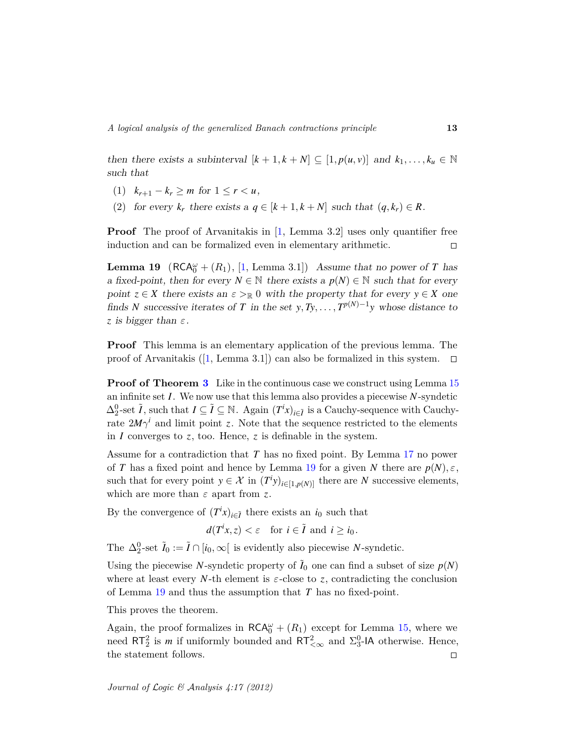then there exists a subinterval  $[k+1, k+N] \subseteq [1, p(u,v)]$  and  $k_1, \ldots, k_u \in \mathbb{N}$ such that

- (1)  $k_{r+1} k_r \geq m$  for  $1 \leq r \leq u$ ,
- (2) for every  $k_r$  there exists a  $q \in [k+1, k+N]$  such that  $(q, k_r) \in R$ .

**Proof** The proof of Arvanitakis in [\[1,](#page-14-1) Lemma 3.2] uses only quantifier free induction and can be formalized even in elementary arithmetic.  $\Box$ 

<span id="page-12-0"></span>**Lemma 19**  $(RCA_0^{\omega} + (R_1), [1, Lemma 3.1])$  $(RCA_0^{\omega} + (R_1), [1, Lemma 3.1])$  $(RCA_0^{\omega} + (R_1), [1, Lemma 3.1])$  Assume that no power of *T* has a fixed-point, then for every  $N \in \mathbb{N}$  there exists a  $p(N) \in \mathbb{N}$  such that for every point  $z \in X$  there exists an  $\varepsilon >_{\mathbb{R}} 0$  with the property that for every  $y \in X$  one finds *N* successive iterates of *T* in the set  $y, Ty, \ldots, T^{p(N)-1}y$  whose distance to *z* is bigger than *ε*.

**Proof** This lemma is an elementary application of the previous lemma. The proof of Arvanitakis ([\[1,](#page-14-1) Lemma 3.1]) can also be formalized in this system.  $\Box$ 

**Proof of Theorem [3](#page-3-0)** Like in the continuous case we construct using Lemma [15](#page-8-5) an infinite set *I*. We now use that this lemma also provides a piecewise *N*-syndetic  $\Delta_2^0$ -set  $\tilde{I}$ , such that  $I \subseteq \tilde{I} \subseteq \mathbb{N}$ . Again  $(T^i x)_{i \in \tilde{I}}$  is a Cauchy-sequence with Cauchyrate  $2M\gamma^i$  and limit point *z*. Note that the sequence restricted to the elements in *I* converges to *z*, too. Hence, *z* is definable in the system.

Assume for a contradiction that *T* has no fixed point. By Lemma [17](#page-11-0) no power of *T* has a fixed point and hence by Lemma [19](#page-12-0) for a given *N* there are  $p(N), \varepsilon$ , such that for every point  $y \in \mathcal{X}$  in  $(T^i y)_{i \in [1, p(N)]}$  there are *N* successive elements, which are more than *ε* apart from *z*.

By the convergence of  $(T^i x)_{i \in I}$  there exists an *i*<sub>0</sub> such that

$$
d(T^ix, z) < \varepsilon \quad \text{for } i \in \tilde{I} \text{ and } i \geq i_0.
$$

The  $\Delta_2^0$ -set  $\tilde{I}_0 := \tilde{I} \cap [i_0, \infty[$  is evidently also piecewise *N*-syndetic.

Using the piecewise *N*-syndetic property of  $I_0$  one can find a subset of size  $p(N)$ where at least every *N*-th element is  $\varepsilon$ -close to *z*, contradicting the conclusion of Lemma [19](#page-12-0) and thus the assumption that *T* has no fixed-point.

This proves the theorem.

Again, the proof formalizes in  $\mathsf{RCA}^{\omega}_0 + (R_1)$  except for Lemma [15,](#page-8-5) where we need  $RT_2^2$  is *m* if uniformly bounded and  $RT_{<\infty}^2$  and  $\Sigma_3^0$ -IA otherwise. Hence, the statement follows.  $\Box$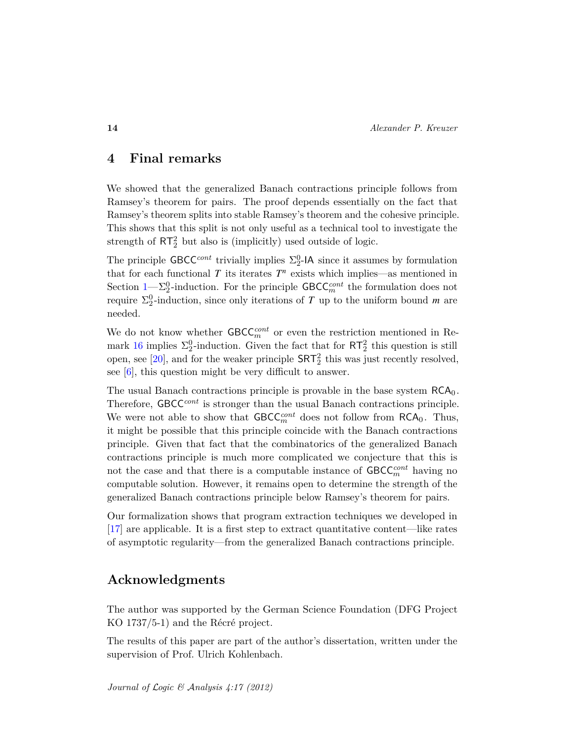## **4 Final remarks**

We showed that the generalized Banach contractions principle follows from Ramsey's theorem for pairs. The proof depends essentially on the fact that Ramsey's theorem splits into stable Ramsey's theorem and the cohesive principle. This shows that this split is not only useful as a technical tool to investigate the strength of  $RT_2^2$  but also is (implicitly) used outside of logic.

The principle  $\mathsf{GBCC}^{cont}$  trivially implies  $\Sigma^0_2$ -IA since it assumes by formulation that for each functional  $T$  its iterates  $T<sup>n</sup>$  exists which implies—as mentioned in Section  $1-\Sigma_2^0$ -induction. For the principle  $\mathsf{GBCC}_m^{cont}$  the formulation does not require  $\Sigma_2^0$ -induction, since only iterations of *T* up to the uniform bound *m* are needed.

We do not know whether  $\mathsf{GBCC}_m^{cont}$  or even the restriction mentioned in Re-mark [16](#page-11-1) implies  $\Sigma_2^0$ -induction. Given the fact that for  $RT_2^2$  this question is still open, see [\[20\]](#page-15-9), and for the weaker principle  $SRT<sub>2</sub><sup>2</sup>$  this was just recently resolved, see [\[6\]](#page-14-11), this question might be very difficult to answer.

The usual Banach contractions principle is provable in the base system  $RCA_0$ . Therefore, GBCC*cont* is stronger than the usual Banach contractions principle. We were not able to show that  $GBCC_m^{cont}$  does not follow from  $RCA_0$ . Thus, it might be possible that this principle coincide with the Banach contractions principle. Given that fact that the combinatorics of the generalized Banach contractions principle is much more complicated we conjecture that this is not the case and that there is a computable instance of  $\mathsf{GBCC}_m^{cont}$  having no computable solution. However, it remains open to determine the strength of the generalized Banach contractions principle below Ramsey's theorem for pairs.

Our formalization shows that program extraction techniques we developed in [\[17\]](#page-15-10) are applicable. It is a first step to extract quantitative content—like rates of asymptotic regularity—from the generalized Banach contractions principle.

## **Acknowledgments**

The author was supported by the German Science Foundation (DFG Project KO 1737/5-1) and the Récré project.

The results of this paper are part of the author's dissertation, written under the supervision of Prof. Ulrich Kohlenbach.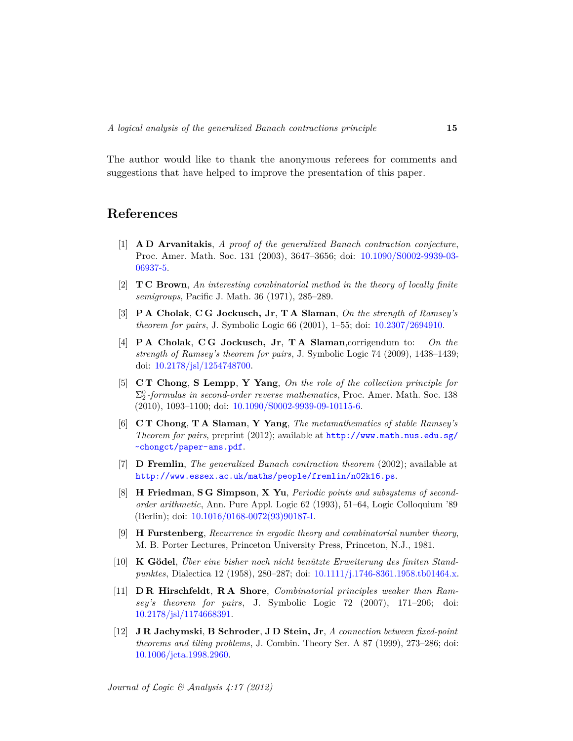The author would like to thank the anonymous referees for comments and suggestions that have helped to improve the presentation of this paper.

## **References**

- <span id="page-14-1"></span>[1] **A D Arvanitakis**, *A proof of the generalized Banach contraction conjecture*, Proc. Amer. Math. Soc. 131 (2003), 3647–3656; doi: [10.1090/S0002-9939-03-](http://dx.doi.org/10.1090/S0002-9939-03-06937-5) [06937-5.](http://dx.doi.org/10.1090/S0002-9939-03-06937-5)
- <span id="page-14-9"></span>[2] **T C Brown**, *An interesting combinatorial method in the theory of locally finite semigroups*, Pacific J. Math. 36 (1971), 285–289.
- <span id="page-14-4"></span>[3] **P A Cholak**, **C G Jockusch, Jr**, **T A Slaman**, *On the strength of Ramsey's theorem for pairs*, J. Symbolic Logic 66 (2001), 1–55; doi: [10.2307/2694910.](http://dx.doi.org/10.2307/2694910)
- <span id="page-14-7"></span>[4] **P A Cholak**, **C G Jockusch, Jr**, **T A Slaman**,corrigendum to: *On the strength of Ramsey's theorem for pairs*, J. Symbolic Logic 74 (2009), 1438–1439; doi: [10.2178/jsl/1254748700.](http://dx.doi.org/10.2178/jsl/1254748700)
- <span id="page-14-8"></span>[5] **C T Chong**, **S Lempp**, **Y Yang**, *On the role of the collection principle for*  $\Sigma^0_2$ -formulas in second-order reverse mathematics, Proc. Amer. Math. Soc. 138 (2010), 1093–1100; doi: [10.1090/S0002-9939-09-10115-6.](http://dx.doi.org/10.1090/S0002-9939-09-10115-6)
- <span id="page-14-11"></span>[6] **C T Chong**, **T A Slaman**, **Y Yang**, *The metamathematics of stable Ramsey's Theorem for pairs*, preprint (2012); available at [http://www.math.nus.edu.sg/](http://www.math.nus.edu.sg/~chongct/paper-ams.pdf) [~chongct/paper-ams.pdf](http://www.math.nus.edu.sg/~chongct/paper-ams.pdf).
- <span id="page-14-6"></span>[7] **D Fremlin**, *The generalized Banach contraction theorem* (2002); available at <http://www.essex.ac.uk/maths/people/fremlin/n02k16.ps>.
- <span id="page-14-3"></span>[8] **H Friedman**, **S G Simpson**, **X Yu**, *Periodic points and subsystems of secondorder arithmetic*, Ann. Pure Appl. Logic 62 (1993), 51–64, Logic Colloquium '89 (Berlin); doi: [10.1016/0168-0072\(93\)90187-I.](http://dx.doi.org/10.1016/0168-0072(93)90187-I)
- <span id="page-14-10"></span>[9] **H Furstenberg**, *Recurrence in ergodic theory and combinatorial number theory*, M. B. Porter Lectures, Princeton University Press, Princeton, N.J., 1981.
- <span id="page-14-2"></span>[10] **K Gödel**, *Über eine bisher noch nicht benützte Erweiterung des finiten Standpunktes*, Dialectica 12 (1958), 280–287; doi: [10.1111/j.1746-8361.1958.tb01464.x.](http://dx.doi.org/10.1111/j.1746-8361.1958.tb01464.x)
- <span id="page-14-5"></span>[11] **D R Hirschfeldt**, **R A Shore**, *Combinatorial principles weaker than Ramsey's theorem for pairs*, J. Symbolic Logic 72 (2007), 171–206; doi: [10.2178/jsl/1174668391.](http://dx.doi.org/10.2178/jsl/1174668391)
- <span id="page-14-0"></span>[12] **J R Jachymski**, **B Schroder**, **J D Stein, Jr**, *A connection between fixed-point theorems and tiling problems*, J. Combin. Theory Ser. A 87 (1999), 273–286; doi: [10.1006/jcta.1998.2960.](http://dx.doi.org/10.1006/jcta.1998.2960)